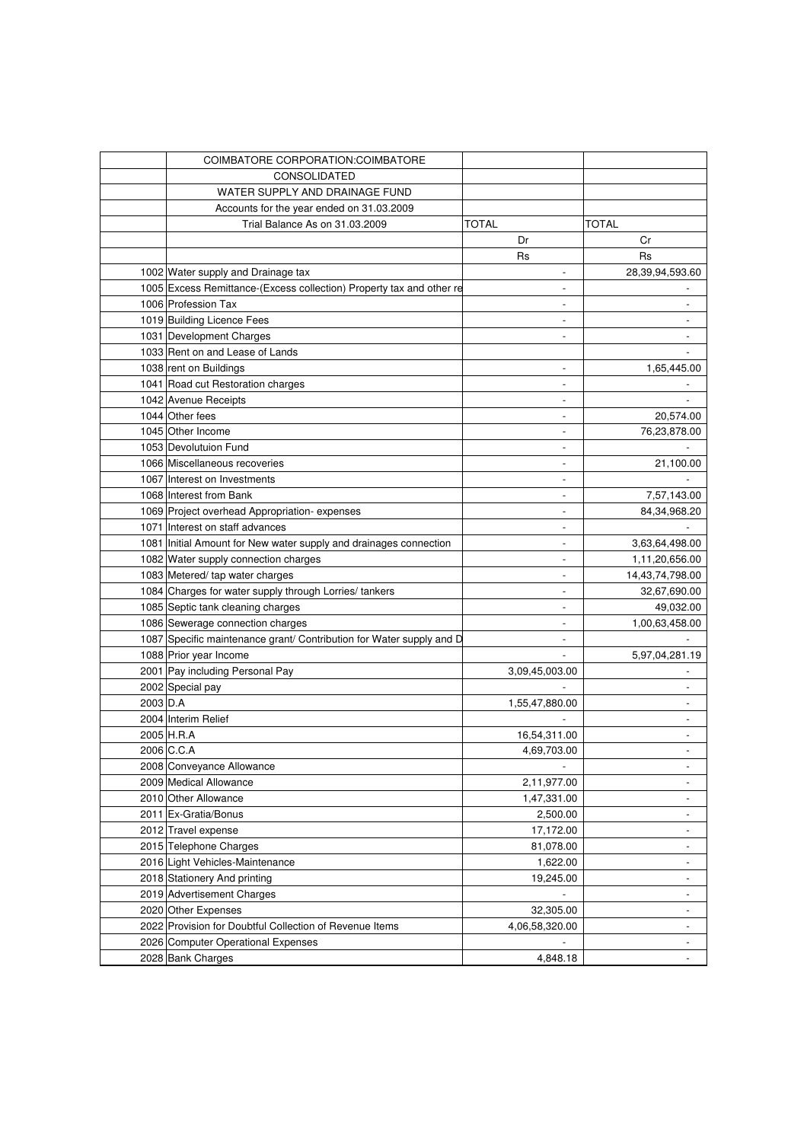|          | COIMBATORE CORPORATION: COIMBATORE                                   |                          |                             |
|----------|----------------------------------------------------------------------|--------------------------|-----------------------------|
|          | <b>CONSOLIDATED</b>                                                  |                          |                             |
|          | WATER SUPPLY AND DRAINAGE FUND                                       |                          |                             |
|          | Accounts for the year ended on 31.03.2009                            |                          |                             |
|          | Trial Balance As on 31,03,2009                                       | TOTAL                    | TOTAL                       |
|          |                                                                      | Dr                       | Cr                          |
|          |                                                                      | Rs                       | Rs                          |
|          | 1002 Water supply and Drainage tax                                   |                          | 28,39,94,593.60             |
|          | 1005 Excess Remittance-(Excess collection) Property tax and other re | $\overline{a}$           |                             |
|          | 1006 Profession Tax                                                  | $\overline{a}$           |                             |
|          | 1019 Building Licence Fees                                           | $\overline{\phantom{a}}$ |                             |
|          | 1031 Development Charges                                             |                          |                             |
|          | 1033 Rent on and Lease of Lands                                      |                          |                             |
|          | 1038 rent on Buildings                                               |                          | 1,65,445.00                 |
|          | 1041 Road cut Restoration charges                                    | $\overline{\phantom{a}}$ |                             |
|          | 1042 Avenue Receipts                                                 |                          |                             |
|          | 1044 Other fees                                                      |                          | 20,574.00                   |
|          | 1045 Other Income                                                    | $\overline{\phantom{a}}$ | 76,23,878.00                |
|          | 1053 Devolutuion Fund                                                | $\overline{\phantom{a}}$ |                             |
|          | 1066 Miscellaneous recoveries                                        | $\overline{\phantom{a}}$ | 21,100.00                   |
|          | 1067 Interest on Investments                                         | $\overline{\phantom{a}}$ |                             |
|          | 1068 Interest from Bank                                              | $\overline{\phantom{a}}$ |                             |
|          |                                                                      |                          | 7,57,143.00<br>84,34,968.20 |
|          | 1069 Project overhead Appropriation-expenses                         | $\overline{\phantom{a}}$ |                             |
|          | 1071 Interest on staff advances                                      | $\overline{\phantom{a}}$ |                             |
|          | 1081 Initial Amount for New water supply and drainages connection    | $\overline{\phantom{a}}$ | 3,63,64,498.00              |
|          | 1082 Water supply connection charges                                 | $\overline{\phantom{a}}$ | 1,11,20,656.00              |
|          | 1083 Metered/ tap water charges                                      | $\overline{\phantom{a}}$ | 14,43,74,798.00             |
|          | 1084 Charges for water supply through Lorries/ tankers               | $\overline{a}$           | 32,67,690.00                |
|          | 1085 Septic tank cleaning charges                                    | $\overline{a}$           | 49,032.00                   |
|          | 1086 Sewerage connection charges                                     | $\overline{a}$           | 1,00,63,458.00              |
|          | 1087 Specific maintenance grant/ Contribution for Water supply and D | $\overline{a}$           |                             |
|          | 1088 Prior year Income                                               |                          | 5,97,04,281.19              |
|          | 2001 Pay including Personal Pay                                      | 3,09,45,003.00           |                             |
|          | 2002 Special pay                                                     | $\overline{a}$           |                             |
| 2003 D.A |                                                                      | 1,55,47,880.00           |                             |
|          | 2004 Interim Relief                                                  | $\overline{\phantom{a}}$ |                             |
|          | 2005 H.R.A                                                           | 16,54,311.00             |                             |
|          | 2006 C.C.A                                                           | 4,69,703.00              |                             |
|          | 2008 Conveyance Allowance                                            |                          | -                           |
|          | 2009 Medical Allowance                                               | 2,11,977.00              |                             |
|          | 2010 Other Allowance                                                 | 1,47,331.00              |                             |
|          | 2011 Ex-Gratia/Bonus                                                 | 2,500.00                 | $\overline{\phantom{0}}$    |
|          | 2012 Travel expense                                                  | 17,172.00                | $\overline{\phantom{a}}$    |
|          | 2015 Telephone Charges                                               | 81,078.00                | $\frac{1}{2}$               |
|          | 2016 Light Vehicles-Maintenance                                      | 1,622.00                 | $\overline{\phantom{a}}$    |
|          | 2018 Stationery And printing                                         | 19,245.00                | $\overline{\phantom{a}}$    |
|          | 2019 Advertisement Charges                                           |                          | $\overline{\phantom{a}}$    |
|          | 2020 Other Expenses                                                  | 32,305.00                | $\overline{\phantom{a}}$    |
|          | 2022 Provision for Doubtful Collection of Revenue Items              | 4,06,58,320.00           | $\overline{\phantom{a}}$    |
|          | 2026 Computer Operational Expenses                                   |                          | $\frac{1}{2}$               |
|          | 2028 Bank Charges                                                    | 4,848.18                 | $\blacksquare$              |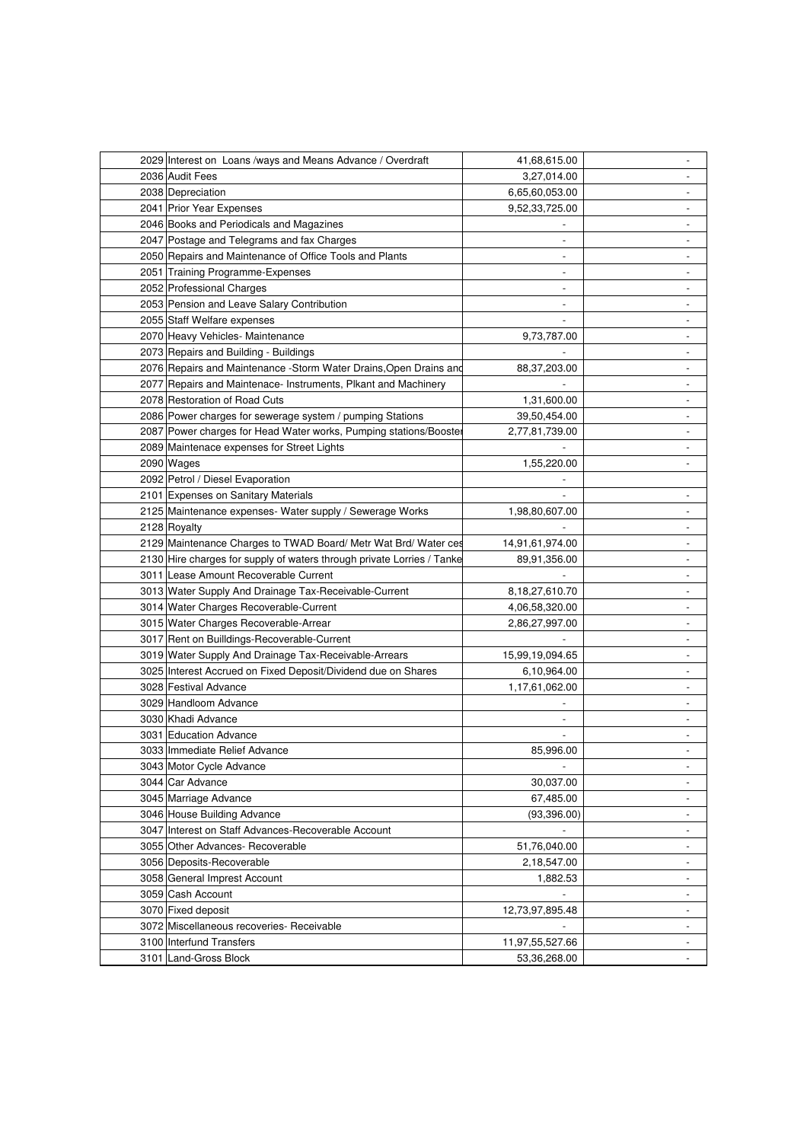| 2029 Interest on Loans /ways and Means Advance / Overdraft             | 41,68,615.00    | -                        |
|------------------------------------------------------------------------|-----------------|--------------------------|
| 2036 Audit Fees                                                        | 3,27,014.00     |                          |
| 2038 Depreciation                                                      | 6,65,60,053.00  |                          |
| 2041 Prior Year Expenses                                               | 9,52,33,725.00  |                          |
| 2046 Books and Periodicals and Magazines                               |                 |                          |
| 2047 Postage and Telegrams and fax Charges                             | $\overline{a}$  |                          |
| 2050 Repairs and Maintenance of Office Tools and Plants                |                 |                          |
| 2051 Training Programme-Expenses                                       |                 |                          |
| 2052 Professional Charges                                              | $\overline{a}$  |                          |
| 2053 Pension and Leave Salary Contribution                             | $\overline{a}$  |                          |
| 2055 Staff Welfare expenses                                            |                 |                          |
| 2070 Heavy Vehicles- Maintenance                                       | 9,73,787.00     |                          |
| 2073 Repairs and Building - Buildings                                  |                 |                          |
| 2076 Repairs and Maintenance -Storm Water Drains, Open Drains and      | 88,37,203.00    |                          |
| 2077 Repairs and Maintenace- Instruments, Plkant and Machinery         |                 |                          |
| 2078 Restoration of Road Cuts                                          | 1,31,600.00     |                          |
| 2086 Power charges for sewerage system / pumping Stations              | 39,50,454.00    |                          |
| 2087 Power charges for Head Water works, Pumping stations/Booster      | 2,77,81,739.00  | $\overline{\phantom{0}}$ |
|                                                                        |                 |                          |
| 2089 Maintenace expenses for Street Lights                             |                 |                          |
| 2090 Wages                                                             | 1,55,220.00     |                          |
| 2092 Petrol / Diesel Evaporation                                       |                 |                          |
| 2101 Expenses on Sanitary Materials                                    |                 | $\overline{\phantom{0}}$ |
| 2125 Maintenance expenses - Water supply / Sewerage Works              | 1,98,80,607.00  | $\overline{\phantom{a}}$ |
| 2128 Royalty                                                           |                 |                          |
| 2129 Maintenance Charges to TWAD Board/ Metr Wat Brd/ Water ces        | 14,91,61,974.00 |                          |
| 2130 Hire charges for supply of waters through private Lorries / Tanke | 89,91,356.00    | $\overline{\phantom{a}}$ |
| 3011 Lease Amount Recoverable Current                                  |                 |                          |
| 3013 Water Supply And Drainage Tax-Receivable-Current                  | 8,18,27,610.70  |                          |
| 3014 Water Charges Recoverable-Current                                 | 4,06,58,320.00  |                          |
| 3015 Water Charges Recoverable-Arrear                                  | 2,86,27,997.00  |                          |
| 3017 Rent on Builldings-Recoverable-Current                            |                 | $\overline{a}$           |
| 3019 Water Supply And Drainage Tax-Receivable-Arrears                  | 15,99,19,094.65 |                          |
| 3025 Interest Accrued on Fixed Deposit/Dividend due on Shares          | 6,10,964.00     |                          |
| 3028 Festival Advance                                                  | 1,17,61,062.00  |                          |
| 3029 Handloom Advance                                                  |                 |                          |
| 3030 Khadi Advance                                                     |                 |                          |
| 3031 Education Advance                                                 |                 |                          |
| 3033 Immediate Relief Advance                                          | 85,996.00       |                          |
| 3043 Motor Cycle Advance                                               |                 |                          |
| 3044 Car Advance                                                       | 30,037.00       |                          |
| 3045 Marriage Advance                                                  | 67,485.00       |                          |
| 3046 House Building Advance                                            | (93, 396.00)    |                          |
| 3047 Interest on Staff Advances-Recoverable Account                    | $\blacksquare$  | $\overline{\phantom{a}}$ |
| 3055 Other Advances- Recoverable                                       | 51,76,040.00    | $\frac{1}{2}$            |
| 3056 Deposits-Recoverable                                              | 2,18,547.00     | $\overline{\phantom{a}}$ |
| 3058 General Imprest Account                                           | 1,882.53        | $\overline{\phantom{a}}$ |
| 3059 Cash Account                                                      |                 | $\overline{\phantom{a}}$ |
| 3070 Fixed deposit                                                     | 12,73,97,895.48 | $\overline{\phantom{a}}$ |
| 3072 Miscellaneous recoveries- Receivable                              |                 |                          |
| 3100 Interfund Transfers                                               | 11,97,55,527.66 | $\overline{\phantom{0}}$ |
| 3101 Land-Gross Block                                                  | 53,36,268.00    | $\overline{\phantom{0}}$ |
|                                                                        |                 |                          |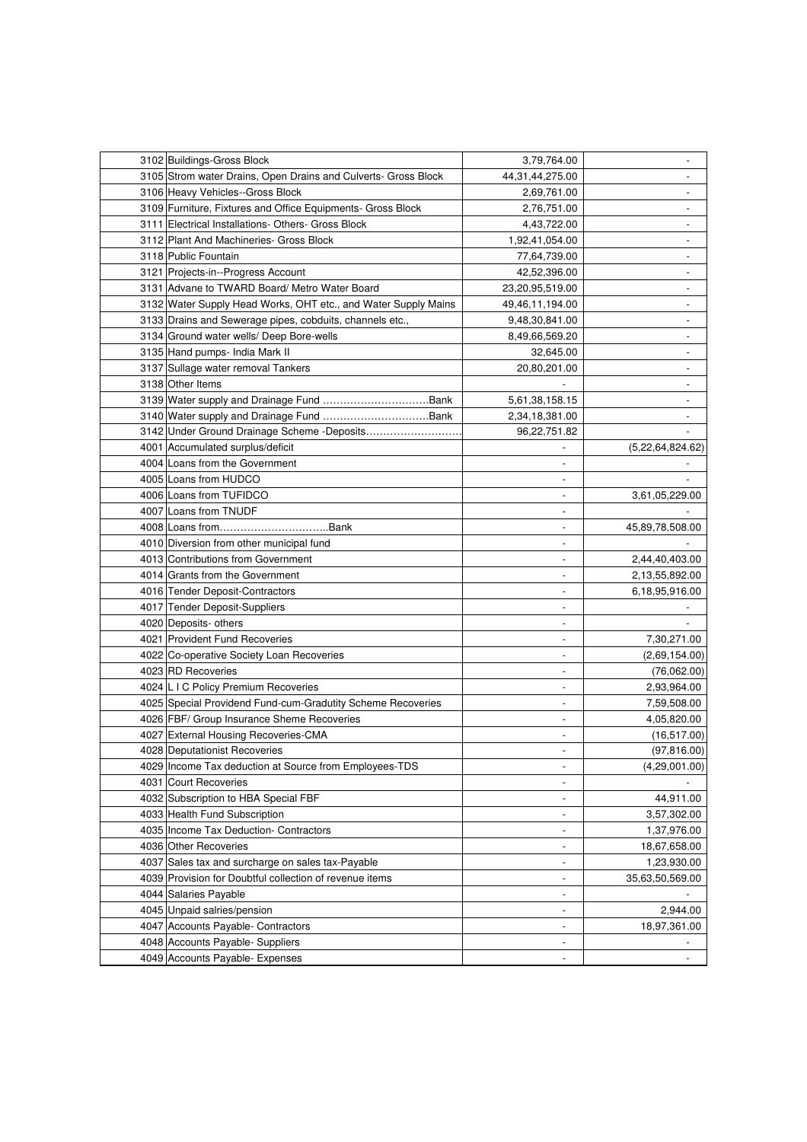| 3102 Buildings-Gross Block                                                      | 3,79,764.00                                | ۰                        |
|---------------------------------------------------------------------------------|--------------------------------------------|--------------------------|
| 3105 Strom water Drains, Open Drains and Culverts- Gross Block                  | 44,31,44,275.00                            |                          |
| 3106 Heavy Vehicles--Gross Block                                                | 2,69,761.00                                |                          |
| 3109 Furniture, Fixtures and Office Equipments- Gross Block                     | 2,76,751.00                                |                          |
| 3111 Electrical Installations- Others- Gross Block                              | 4,43,722.00                                | $\overline{\phantom{0}}$ |
| 3112 Plant And Machineries- Gross Block                                         | 1,92,41,054.00                             | $\overline{\phantom{0}}$ |
| 3118 Public Fountain                                                            | 77,64,739.00                               | $\overline{\phantom{a}}$ |
| 3121 Projects-in--Progress Account                                              | 42,52,396.00                               |                          |
| 3131 Advane to TWARD Board/ Metro Water Board                                   | 23,20,95,519.00                            |                          |
| 3132 Water Supply Head Works, OHT etc., and Water Supply Mains                  | 49,46,11,194.00                            |                          |
| 3133 Drains and Sewerage pipes, cobduits, channels etc.,                        | 9,48,30,841.00                             |                          |
| 3134 Ground water wells/ Deep Bore-wells                                        | 8,49,66,569.20                             |                          |
| 3135 Hand pumps- India Mark II                                                  | 32,645.00                                  |                          |
| 3137 Sullage water removal Tankers                                              | 20,80,201.00                               |                          |
| 3138 Other Items                                                                |                                            |                          |
|                                                                                 | 5,61,38,158.15                             |                          |
|                                                                                 | 2,34,18,381.00                             |                          |
|                                                                                 | 96,22,751.82                               |                          |
| 4001 Accumulated surplus/deficit                                                | $\overline{\phantom{a}}$                   | (5,22,64,824.62)         |
| 4004 Loans from the Government                                                  | $\overline{\phantom{a}}$                   |                          |
| 4005 Loans from HUDCO                                                           | $\overline{\phantom{a}}$                   |                          |
| 4006 Loans from TUFIDCO                                                         | $\overline{\phantom{a}}$                   | 3,61,05,229.00           |
| 4007 Loans from TNUDF                                                           | $\overline{\phantom{a}}$                   |                          |
|                                                                                 | $\overline{\phantom{a}}$                   | 45,89,78,508.00          |
| 4010 Diversion from other municipal fund                                        | $\overline{\phantom{a}}$                   |                          |
| 4013 Contributions from Government                                              | $\overline{\phantom{a}}$                   | 2,44,40,403.00           |
| 4014 Grants from the Government                                                 | $\overline{\phantom{a}}$                   | 2,13,55,892.00           |
| 4016 Tender Deposit-Contractors                                                 | $\overline{\phantom{0}}$                   | 6,18,95,916.00           |
| 4017 Tender Deposit-Suppliers                                                   | $\overline{a}$                             |                          |
| 4020 Deposits- others                                                           | $\overline{\phantom{a}}$                   |                          |
| 4021 Provident Fund Recoveries                                                  | $\overline{\phantom{a}}$                   | 7,30,271.00              |
|                                                                                 | $\overline{\phantom{a}}$                   |                          |
| 4022 Co-operative Society Loan Recoveries                                       | $\overline{\phantom{a}}$                   | (2,69,154.00)            |
| 4023 RD Recoveries<br>4024 L I C Policy Premium Recoveries                      | $\overline{\phantom{a}}$                   | (76,062.00)              |
|                                                                                 |                                            | 2,93,964.00              |
| 4025 Special Providend Fund-cum-Gradutity Scheme Recoveries                     | $\overline{\phantom{a}}$<br>$\overline{a}$ | 7,59,508.00              |
| 4026 FBF/ Group Insurance Sheme Recoveries                                      |                                            | 4,05,820.00              |
| 4027 External Housing Recoveries-CMA                                            | $\overline{\phantom{a}}$                   | (16, 517.00)             |
| 4028 Deputationist Recoveries                                                   | $\overline{\phantom{a}}$                   | (97, 816.00)             |
| 4029 Income Tax deduction at Source from Employees-TDS<br>4031 Court Recoveries | $\overline{\phantom{a}}$                   | (4,29,001.00)            |
|                                                                                 | $\overline{\phantom{a}}$                   |                          |
| 4032 Subscription to HBA Special FBF                                            | $\qquad \qquad \blacksquare$               | 44,911.00                |
| 4033 Health Fund Subscription                                                   | $\blacksquare$                             | 3,57,302.00              |
| 4035 Income Tax Deduction- Contractors                                          | $\blacksquare$                             | 1,37,976.00              |
| 4036 Other Recoveries                                                           | $\blacksquare$                             | 18,67,658.00             |
| 4037 Sales tax and surcharge on sales tax-Payable                               | $\blacksquare$                             | 1,23,930.00              |
| 4039 Provision for Doubtful collection of revenue items                         | $\blacksquare$                             | 35,63,50,569.00          |
| 4044 Salaries Payable                                                           | $\overline{\phantom{a}}$                   |                          |
| 4045 Unpaid salries/pension                                                     | $\overline{\phantom{a}}$                   | 2,944.00                 |
| 4047 Accounts Payable- Contractors                                              | $\overline{\phantom{a}}$                   | 18,97,361.00             |
| 4048 Accounts Payable- Suppliers                                                | $\overline{\phantom{a}}$                   |                          |
| 4049 Accounts Payable- Expenses                                                 | $\overline{\phantom{a}}$                   | $\overline{\phantom{0}}$ |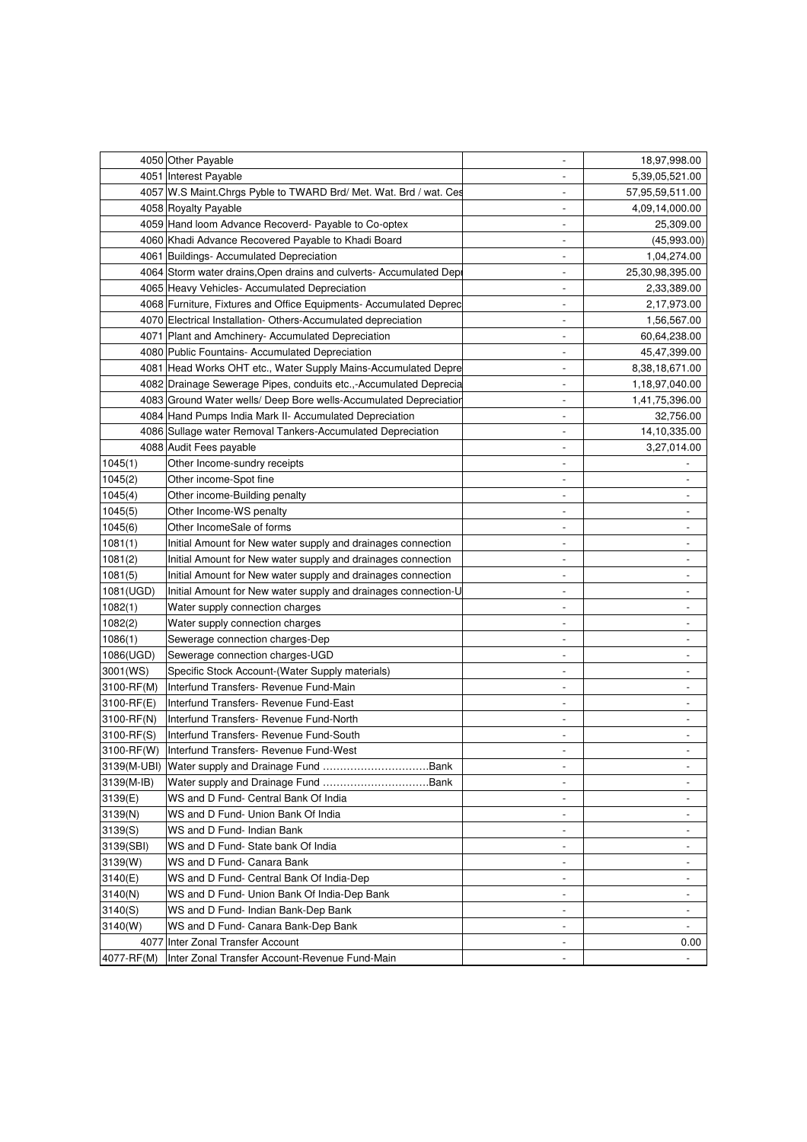|             | 4050 Other Payable                                                  | $\overline{\phantom{a}}$     | 18,97,998.00             |
|-------------|---------------------------------------------------------------------|------------------------------|--------------------------|
|             | 4051 Interest Payable                                               | $\overline{\phantom{a}}$     | 5,39,05,521.00           |
|             | 4057 W.S Maint. Chrgs Pyble to TWARD Brd/ Met. Wat. Brd / wat. Ces  | $\qquad \qquad \blacksquare$ | 57,95,59,511.00          |
|             | 4058 Royalty Payable                                                | $\overline{a}$               | 4,09,14,000.00           |
|             | 4059 Hand loom Advance Recoverd- Payable to Co-optex                |                              | 25,309.00                |
|             | 4060 Khadi Advance Recovered Payable to Khadi Board                 | $\overline{\phantom{0}}$     | (45,993.00)              |
|             | 4061 Buildings- Accumulated Depreciation                            | $\centerdot$                 | 1,04,274.00              |
|             | 4064 Storm water drains, Open drains and culverts- Accumulated Depi | $\centerdot$                 | 25,30,98,395.00          |
|             | 4065 Heavy Vehicles- Accumulated Depreciation                       | $\overline{a}$               | 2,33,389.00              |
|             | 4068 Furniture, Fixtures and Office Equipments- Accumulated Deprec  | $\overline{\phantom{a}}$     | 2,17,973.00              |
|             | 4070 Electrical Installation-Others-Accumulated depreciation        | $\overline{a}$               | 1,56,567.00              |
|             | 4071 Plant and Amchinery- Accumulated Depreciation                  | $\overline{a}$               | 60,64,238.00             |
|             | 4080 Public Fountains- Accumulated Depreciation                     | $\overline{a}$               | 45,47,399.00             |
|             | 4081 Head Works OHT etc., Water Supply Mains-Accumulated Depre      | $\centerdot$                 | 8,38,18,671.00           |
|             | 4082 Drainage Sewerage Pipes, conduits etc.,-Accumulated Deprecia   | $\overline{\phantom{a}}$     | 1,18,97,040.00           |
|             | 4083 Ground Water wells/ Deep Bore wells-Accumulated Depreciation   | $\overline{\phantom{a}}$     | 1,41,75,396.00           |
|             | 4084 Hand Pumps India Mark II- Accumulated Depreciation             | $\overline{a}$               | 32,756.00                |
|             | 4086 Sullage water Removal Tankers-Accumulated Depreciation         | $\overline{a}$               | 14,10,335.00             |
|             | 4088 Audit Fees payable                                             | $\overline{a}$               | 3,27,014.00              |
| 1045(1)     | Other Income-sundry receipts                                        | $\centerdot$                 |                          |
| 1045(2)     | Other income-Spot fine                                              | $\overline{\phantom{a}}$     | $\overline{\phantom{0}}$ |
| 1045(4)     | Other income-Building penalty                                       | $\overline{\phantom{a}}$     |                          |
| 1045(5)     | Other Income-WS penalty                                             | $\centerdot$                 | $\overline{\phantom{0}}$ |
| 1045(6)     | Other IncomeSale of forms                                           | $\overline{a}$               | $\overline{\phantom{0}}$ |
| 1081(1)     | Initial Amount for New water supply and drainages connection        | $\overline{\phantom{a}}$     |                          |
| 1081(2)     | Initial Amount for New water supply and drainages connection        | $\overline{\phantom{a}}$     |                          |
| 1081(5)     | Initial Amount for New water supply and drainages connection        | $\overline{\phantom{a}}$     | $\overline{\phantom{a}}$ |
| 1081(UGD)   | Initial Amount for New water supply and drainages connection-U      | $\qquad \qquad \blacksquare$ | -                        |
| 1082(1)     | Water supply connection charges                                     | $\overline{a}$               |                          |
| 1082(2)     | Water supply connection charges                                     |                              |                          |
| 1086(1)     | Sewerage connection charges-Dep                                     | $\overline{\phantom{0}}$     |                          |
| 1086(UGD)   | Sewerage connection charges-UGD                                     | $\overline{a}$               | $\overline{\phantom{0}}$ |
| 3001(WS)    | Specific Stock Account-(Water Supply materials)                     | $\centerdot$                 | $\overline{\phantom{0}}$ |
| 3100-RF(M)  | Interfund Transfers- Revenue Fund-Main                              | $\overline{\phantom{a}}$     | -                        |
| 3100-RF(E)  | Interfund Transfers- Revenue Fund-East                              | $\overline{\phantom{a}}$     |                          |
| 3100-RF(N)  | Interfund Transfers- Revenue Fund-North                             | $\overline{\phantom{a}}$     |                          |
| 3100-RF(S)  | Interfund Transfers- Revenue Fund-South                             | $\overline{\phantom{a}}$     |                          |
| 3100-RF(W)  | Interfund Transfers- Revenue Fund-West                              | $\overline{a}$               |                          |
| 3139(M-UBI) |                                                                     | $\overline{\phantom{a}}$     | $\overline{\phantom{a}}$ |
| 3139(M-IB)  |                                                                     | $\overline{\phantom{a}}$     |                          |
| 3139(E)     | WS and D Fund- Central Bank Of India                                | $\overline{\phantom{a}}$     | -                        |
| 3139(N)     | WS and D Fund- Union Bank Of India                                  | $\overline{\phantom{a}}$     | $\overline{\phantom{0}}$ |
| 3139(S)     | WS and D Fund- Indian Bank                                          |                              |                          |
| 3139(SBI)   | WS and D Fund- State bank Of India                                  | $\overline{\phantom{0}}$     | $\overline{\phantom{0}}$ |
| 3139(W)     | WS and D Fund- Canara Bank                                          | $\overline{\phantom{a}}$     | $\overline{\phantom{a}}$ |
| 3140(E)     | WS and D Fund- Central Bank Of India-Dep                            | $\overline{\phantom{a}}$     | $\overline{\phantom{a}}$ |
| 3140(N)     | WS and D Fund- Union Bank Of India-Dep Bank                         | $\overline{\phantom{a}}$     | $\overline{\phantom{a}}$ |
| 3140(S)     | WS and D Fund- Indian Bank-Dep Bank                                 | $\overline{\phantom{a}}$     | $\overline{\phantom{a}}$ |
| 3140(W)     | WS and D Fund- Canara Bank-Dep Bank                                 | $\overline{\phantom{a}}$     | $\overline{\phantom{a}}$ |
|             | 4077 Inter Zonal Transfer Account                                   | $\overline{\phantom{a}}$     | 0.00                     |
| 4077-RF(M)  | Inter Zonal Transfer Account-Revenue Fund-Main                      | $\overline{\phantom{a}}$     | $\overline{\phantom{a}}$ |
|             |                                                                     |                              |                          |